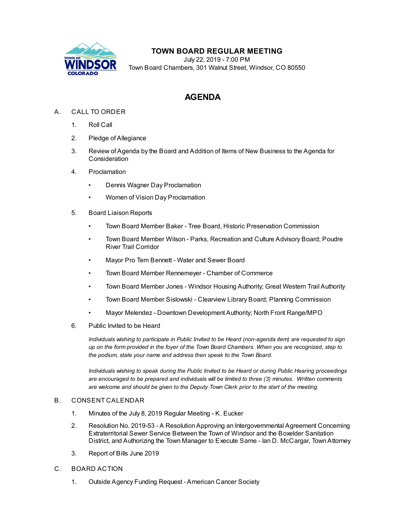

## **TOWN BOARD REGULAR MEETING**

July 22, 2019 - 7:00 PM Town Board Chambers, 301 Walnut Street, Windsor, CO 80550

# **AGENDA**

### A. CALL TO ORDER

- 1. Roll Call
- 2. Pledge of Allegiance
- 3. Review of Agenda by the Board and Addition of Items of New Business to the Agenda for Consideration
- 4. Proclamation
	- [Dennis Wagner Day Proclamation](file:///C:/Windows/TEMP/CoverSheet.aspx?ItemID=466&MeetingID=47)
	- [Women of Vision Day Proclamation](file:///C:/Windows/TEMP/CoverSheet.aspx?ItemID=429&MeetingID=47)
- 5. Board Liaison Reports
	- Town Board Member Baker Tree Board, Historic Preservation Commission
	- Town Board Member Wilson Parks, Recreation and Culture Advisory Board; Poudre River Trail Corridor
	- Mayor Pro Tem Bennett Water and Sewer Board
	- Town Board Member Rennemeyer Chamber of Commerce
	- Town Board Member Jones Windsor Housing Authority; Great Western Trail Authority
	- Town Board Member Sislowski Clearview Library Board; Planning Commission
	- Mayor Melendez Downtown Development Authority; North Front Range/MPO
- 6. Public Invited to be Heard

*Individuals wishing to participate in Public Invited to be Heard (non-agenda item) are requested to sign up on the form provided in the foyer of the Town Board Chambers. When you are recognized, step to the podium, state your name and address then speak to the Town Board.*

*Individuals wishing to speak during the Public Invited to be Heard or during Public Hearing proceedings are encouraged to be prepared and individuals will be limited to three (3) minutes. Written comments are welcome and should be given to the Deputy Town Clerk prior to the start of the meeting.*

#### B. CONSENT CALENDAR

- 1. [Minutes of the July 8, 2019 Regular Meeting K. Eucker](file:///C:/Windows/TEMP/CoverSheet.aspx?ItemID=464&MeetingID=47)
- 2. [Resolution No. 2019-53 A Resolution Approving an Intergovernmental Agreement Concerning](file:///C:/Windows/TEMP/CoverSheet.aspx?ItemID=458&MeetingID=47) Extraterritorial Sewer Service Between the Town of Windsor and the Boxelder Sanitation District, and Authorizing the Town Manager to Execute Same - Ian D. McCargar, Town Attorney
- 3. [Report of Bills June 2019](file:///C:/Windows/TEMP/CoverSheet.aspx?ItemID=462&MeetingID=47)
- C. BOARD ACTION
	- 1. [Outside Agency Funding Request American Cancer Society](file:///C:/Windows/TEMP/CoverSheet.aspx?ItemID=467&MeetingID=47)